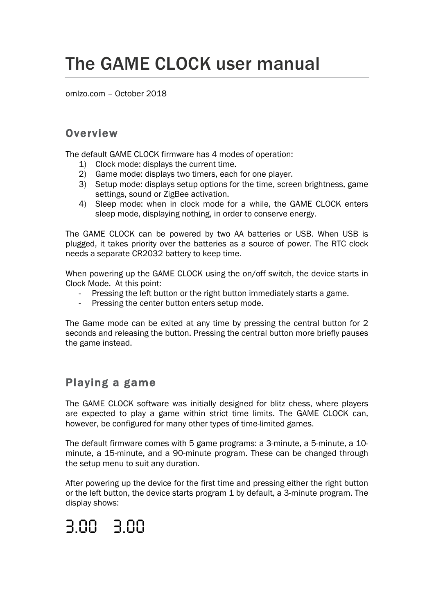# The GAME CLOCK user manual

omlzo.com – October 2018

#### **Overview**

The default GAME CLOCK firmware has 4 modes of operation:

- 1) Clock mode: displays the current time.
- 2) Game mode: displays two timers, each for one player.
- 3) Setup mode: displays setup options for the time, screen brightness, game settings, sound or ZigBee activation.
- 4) Sleep mode: when in clock mode for a while, the GAME CLOCK enters sleep mode, displaying nothing, in order to conserve energy.

The GAME CLOCK can be powered by two AA batteries or USB. When USB is plugged, it takes priority over the batteries as a source of power. The RTC clock needs a separate CR2032 battery to keep time.

When powering up the GAME CLOCK using the on/off switch, the device starts in Clock Mode. At this point:

- Pressing the left button or the right button immediately starts a game.
- Pressing the center button enters setup mode.

The Game mode can be exited at any time by pressing the central button for 2 seconds and releasing the button. Pressing the central button more briefly pauses the game instead.

### Playing a game

The GAME CLOCK software was initially designed for blitz chess, where players are expected to play a game within strict time limits. The GAME CLOCK can, however, be configured for many other types of time-limited games.

The default firmware comes with 5 game programs: a 3-minute, a 5-minute, a 10 minute, a 15-minute, and a 90-minute program. These can be changed through the setup menu to suit any duration.

After powering up the device for the first time and pressing either the right button or the left button, the device starts program 1 by default, a 3-minute program. The display shows:

## 3.00 3.00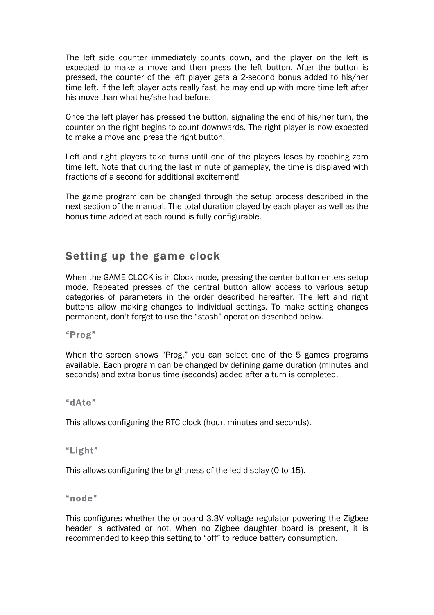The left side counter immediately counts down, and the player on the left is expected to make a move and then press the left button. After the button is pressed, the counter of the left player gets a 2-second bonus added to his/her time left. If the left player acts really fast, he may end up with more time left after his move than what he/she had before.

Once the left player has pressed the button, signaling the end of his/her turn, the counter on the right begins to count downwards. The right player is now expected to make a move and press the right button.

Left and right players take turns until one of the players loses by reaching zero time left. Note that during the last minute of gameplay, the time is displayed with fractions of a second for additional excitement!

The game program can be changed through the setup process described in the next section of the manual. The total duration played by each player as well as the bonus time added at each round is fully configurable.

#### Setting up the game clock

When the GAME CLOCK is in Clock mode, pressing the center button enters setup mode. Repeated presses of the central button allow access to various setup categories of parameters in the order described hereafter. The left and right buttons allow making changes to individual settings. To make setting changes permanent, don't forget to use the "stash" operation described below.

"Prog"

When the screen shows "Prog," you can select one of the 5 games programs available. Each program can be changed by defining game duration (minutes and seconds) and extra bonus time (seconds) added after a turn is completed.

"dAte"

This allows configuring the RTC clock (hour, minutes and seconds).

"Light"

This allows configuring the brightness of the led display (0 to 15).

"node"

This configures whether the onboard 3.3V voltage regulator powering the Zigbee header is activated or not. When no Zigbee daughter board is present, it is recommended to keep this setting to "off" to reduce battery consumption.